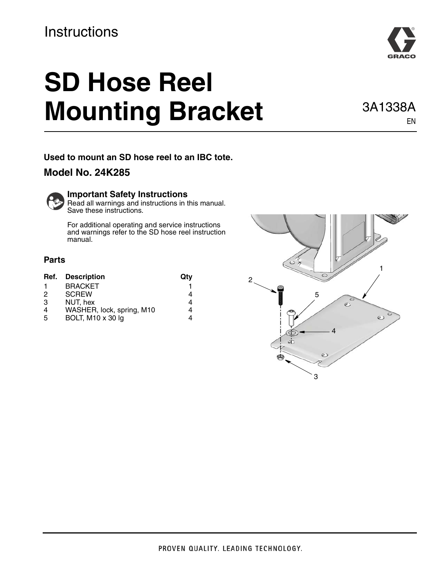## **Instructions**

# **SD Hose Reel Mounting Bracket** 3A1338A

**Used to mount an SD hose reel to an IBC tote.**  ,

### **Model No. 24K285**



Read all warnings and instructions in this manual. Save these instructions.

For additional operating and service instructions and warnings refer to the SD hose reel instruction manual.

#### **Parts**

| Ref. | <b>Description</b>        | Qtv |
|------|---------------------------|-----|
|      | <b>BRACKET</b>            |     |
| 2    | <b>SCREW</b>              |     |
| 3    | NUT, hex                  | 4   |
|      | WASHER, lock, spring, M10 | 4   |
| .5   | BOLT, M10 x 30 lg         |     |





EN